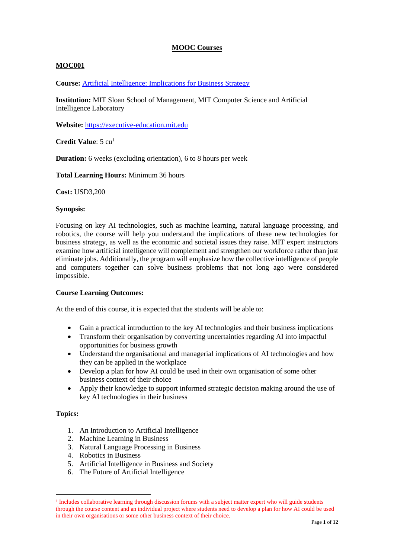# **MOOC Courses**

# **MOC001**

**Course:** [Artificial Intelligence: Implications for Business Strategy](https://executive.mit.edu/course/artificial-intelligence/a056g00000URaa3AAD.html)

**Institution:** MIT Sloan School of Management, MIT Computer Science and Artificial Intelligence Laboratory

**Website:** [https://executive-education.mit.edu](https://executive-education.mit.edu/)

**Credit Value**: 5 cu<sup>1</sup>

**Duration:** 6 weeks (excluding orientation), 6 to 8 hours per week

**Total Learning Hours:** Minimum 36 hours

**Cost:** USD3,200

### **Synopsis:**

Focusing on key AI technologies, such as machine learning, natural language processing, and robotics, the course will help you understand the implications of these new technologies for business strategy, as well as the economic and societal issues they raise. MIT expert instructors examine how artificial intelligence will complement and strengthen our workforce rather than just eliminate jobs. Additionally, the program will emphasize how the collective intelligence of people and computers together can solve business problems that not long ago were considered impossible.

### **Course Learning Outcomes:**

At the end of this course, it is expected that the students will be able to:

- Gain a practical introduction to the key AI technologies and their business implications
- Transform their organisation by converting uncertainties regarding AI into impactful opportunities for business growth
- Understand the organisational and managerial implications of AI technologies and how they can be applied in the workplace
- Develop a plan for how AI could be used in their own organisation of some other business context of their choice
- Apply their knowledge to support informed strategic decision making around the use of key AI technologies in their business

- 1. An Introduction to Artificial Intelligence
- 2. Machine Learning in Business
- 3. Natural Language Processing in Business
- 4. Robotics in Business
- 5. Artificial Intelligence in Business and Society
- 6. The Future of Artificial Intelligence

<sup>&</sup>lt;sup>1</sup> Includes collaborative learning through discussion forums with a subject matter expert who will guide students through the course content and an individual project where students need to develop a plan for how AI could be used in their own organisations or some other business context of their choice.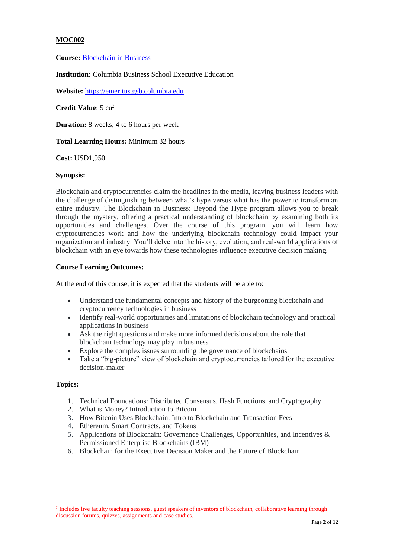**Course:** [Blockchain in Business](https://emeritus.gsb.columbia.edu/blockchain-in-business/index.php?utm_source=CBS-WEB&_ga=2.88468700.678279609.1564568108-1214353997.1564568108)

**Institution:** Columbia Business School Executive Education

**Website:** [https://emeritus.gsb.columbia.edu](https://emeritus.gsb.columbia.edu/)

**Credit Value**: 5 cu<sup>2</sup>

**Duration:** 8 weeks, 4 to 6 hours per week

**Total Learning Hours:** Minimum 32 hours

**Cost:** USD1,950

## **Synopsis:**

Blockchain and cryptocurrencies claim the headlines in the media, leaving business leaders with the challenge of distinguishing between what's hype versus what has the power to transform an entire industry. The Blockchain in Business: Beyond the Hype program allows you to break through the mystery, offering a practical understanding of blockchain by examining both its opportunities and challenges. Over the course of this program, you will learn how cryptocurrencies work and how the underlying blockchain technology could impact your organization and industry. You'll delve into the history, evolution, and real-world applications of blockchain with an eye towards how these technologies influence executive decision making.

## **Course Learning Outcomes:**

At the end of this course, it is expected that the students will be able to:

- Understand the fundamental concepts and history of the burgeoning blockchain and cryptocurrency technologies in business
- Identify real-world opportunities and limitations of blockchain technology and practical applications in business
- Ask the right questions and make more informed decisions about the role that blockchain technology may play in business
- Explore the complex issues surrounding the governance of blockchains
- Take a "big-picture" view of blockchain and cryptocurrencies tailored for the executive decision-maker

## **Topics:**

 $\overline{a}$ 

- 1. Technical Foundations: Distributed Consensus, Hash Functions, and Cryptography
- 2. What is Money? Introduction to Bitcoin
- 3. How Bitcoin Uses Blockchain: Intro to Blockchain and Transaction Fees
- 4. Ethereum, Smart Contracts, and Tokens
- 5. Applications of Blockchain: Governance Challenges, Opportunities, and Incentives & Permissioned Enterprise Blockchains (IBM)
- 6. Blockchain for the Executive Decision Maker and the Future of Blockchain

<sup>&</sup>lt;sup>2</sup> Includes live faculty teaching sessions, guest speakers of inventors of blockchain, collaborative learning through discussion forums, quizzes, assignments and case studies.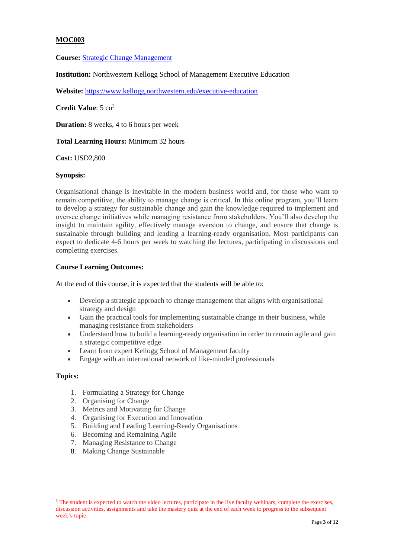**Course:** [Strategic Change Management](https://www.kellogg.northwestern.edu/executive-education/individual-programs/online-programs/ol-scm.aspx)

**Institution:** Northwestern Kellogg School of Management Executive Education

**Website:** <https://www.kellogg.northwestern.edu/executive-education>

**Credit Value**: 5 cu<sup>3</sup>

**Duration:** 8 weeks, 4 to 6 hours per week

**Total Learning Hours:** Minimum 32 hours

**Cost:** USD2,800

## **Synopsis:**

Organisational change is inevitable in the modern business world and, for those who want to remain competitive, the ability to manage change is critical. In this online program, you'll learn to develop a strategy for sustainable change and gain the knowledge required to implement and oversee change initiatives while managing resistance from stakeholders. You'll also develop the insight to maintain agility, effectively manage aversion to change, and ensure that change is sustainable through building and leading a learning-ready organisation. Most participants can expect to dedicate 4-6 hours per week to watching the lectures, participating in discussions and completing exercises.

## **Course Learning Outcomes:**

At the end of this course, it is expected that the students will be able to:

- Develop a strategic approach to change management that aligns with organisational strategy and design
- Gain the practical tools for implementing sustainable change in their business, while managing resistance from stakeholders
- Understand how to build a learning-ready organisation in order to remain agile and gain a strategic competitive edge
- Learn from expert Kellogg School of Management faculty
- Engage with an international network of like-minded professionals

### **Topics:**

 $\ddot{\phantom{a}}$ 

- 1. Formulating a Strategy for Change
- 2. Organising for Change
- 3. Metrics and Motivating for Change
- 4. Organising for Execution and Innovation
- 5. Building and Leading Learning-Ready Organisations
- 6. Becoming and Remaining Agile
- 7. Managing Resistance to Change
- 8. Making Change Sustainable

<sup>&</sup>lt;sup>3</sup> The student is expected to watch the video lectures, participate in the live faculty webinars, complete the exercises, discussion activities, assignments and take the mastery quiz at the end of each week to progress to the subsequent week's topic.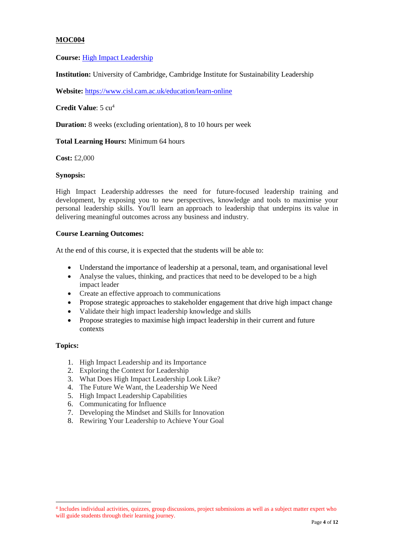**Course:** [High Impact Leadership](https://www.cisl.cam.ac.uk/education/learn-online/high-impact-leadership-online)

**Institution:** University of Cambridge, Cambridge Institute for Sustainability Leadership

**Website:** <https://www.cisl.cam.ac.uk/education/learn-online>

**Credit Value**: 5 cu<sup>4</sup>

**Duration:** 8 weeks (excluding orientation), 8 to 10 hours per week

## **Total Learning Hours:** Minimum 64 hours

**Cost:** £2,000

## **Synopsis:**

High Impact Leadership addresses the need for future-focused leadership training and development, by exposing you to new perspectives, knowledge and tools to maximise your personal leadership skills. You'll learn an approach to leadership that underpins its value in delivering meaningful outcomes across any business and industry.

## **Course Learning Outcomes:**

At the end of this course, it is expected that the students will be able to:

- Understand the importance of leadership at a personal, team, and organisational level
- Analyse the values, thinking, and practices that need to be developed to be a high impact leader
- Create an effective approach to communications
- Propose strategic approaches to stakeholder engagement that drive high impact change
- Validate their high impact leadership knowledge and skills
- Propose strategies to maximise high impact leadership in their current and future contexts

### **Topics:**

 $\overline{a}$ 

- 1. High Impact Leadership and its Importance
- 2. Exploring the Context for Leadership
- 3. What Does High Impact Leadership Look Like?
- 4. The Future We Want, the Leadership We Need
- 5. High Impact Leadership Capabilities
- 6. Communicating for Influence
- 7. Developing the Mindset and Skills for Innovation
- 8. Rewiring Your Leadership to Achieve Your Goal

<sup>4</sup> Includes individual activities, quizzes, group discussions, project submissions as well as a subject matter expert who will guide students through their learning journey.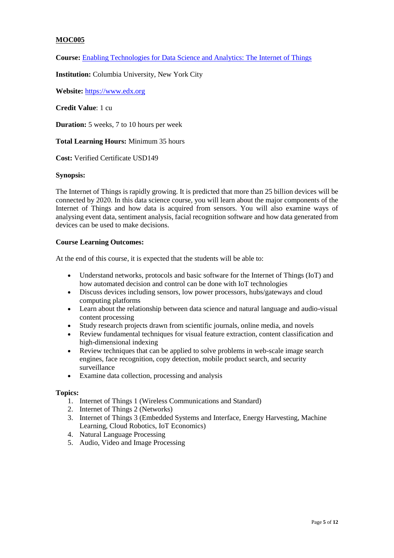**Course:** [Enabling Technologies for Data Science and Analytics: The Internet of Things](https://www.edx.org/course/enabling-technologies-for-data-science-and-analytics-the-internet-of-things)

**Institution:** Columbia University, New York City

**Website:** [https://www.edx.org](https://www.edx.org/)

**Credit Value**: 1 cu

**Duration:** 5 weeks, 7 to 10 hours per week

**Total Learning Hours:** Minimum 35 hours

**Cost:** Verified Certificate USD149

## **Synopsis:**

The Internet of Things is rapidly growing. It is predicted that more than 25 billion devices will be connected by 2020. In this data science course, you will learn about the major components of the Internet of Things and how data is acquired from sensors. You will also examine ways of analysing event data, sentiment analysis, facial recognition software and how data generated from devices can be used to make decisions.

## **Course Learning Outcomes:**

At the end of this course, it is expected that the students will be able to:

- Understand networks, protocols and basic software for the Internet of Things (IoT) and how automated decision and control can be done with IoT technologies
- Discuss devices including sensors, low power processors, hubs/gateways and cloud computing platforms
- Learn about the relationship between data science and natural language and audio-visual content processing
- Study research projects drawn from scientific journals, online media, and novels
- Review fundamental techniques for visual feature extraction, content classification and high-dimensional indexing
- Review techniques that can be applied to solve problems in web-scale image search engines, face recognition, copy detection, mobile product search, and security surveillance
- Examine data collection, processing and analysis

- 1. Internet of Things 1 (Wireless Communications and Standard)
- 2. Internet of Things 2 (Networks)
- 3. Internet of Things 3 (Embedded Systems and Interface, Energy Harvesting, Machine Learning, Cloud Robotics, IoT Economics)
- 4. Natural Language Processing
- 5. Audio, Video and Image Processing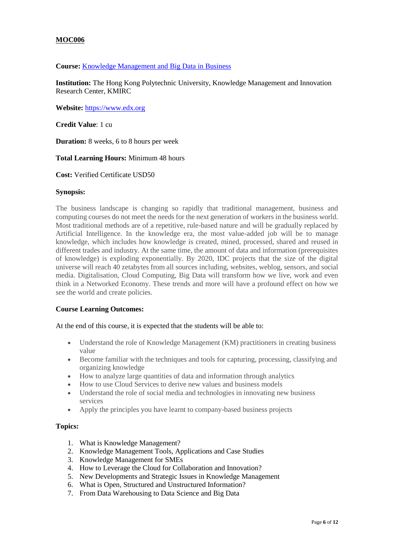# **Course:** [Knowledge Management and Big Data in Business](https://www.edx.org/course/knowledge-management-and-big-data-in-business-2)

**Institution:** The Hong Kong Polytechnic University, Knowledge Management and Innovation Research Center, KMIRC

**Website:** [https://www.edx.org](https://www.edx.org/)

**Credit Value**: 1 cu

**Duration:** 8 weeks, 6 to 8 hours per week

**Total Learning Hours:** Minimum 48 hours

**Cost:** Verified Certificate USD50

### **Synopsis:**

The business landscape is changing so rapidly that traditional management, business and computing courses do not meet the needs for the next generation of workers in the business world. Most traditional methods are of a repetitive, rule-based nature and will be gradually replaced by Artificial Intelligence. In the knowledge era, the most value-added job will be to manage knowledge, which includes how knowledge is created, mined, processed, shared and reused in different trades and industry. At the same time, the amount of data and information (prerequisites of knowledge) is exploding exponentially. By 2020, IDC projects that the size of the digital universe will reach 40 zetabytes from all sources including, websites, weblog, sensors, and social media. Digitalisation, Cloud Computing, Big Data will transform how we live, work and even think in a Networked Economy. These trends and more will have a profound effect on how we see the world and create policies.

## **Course Learning Outcomes:**

### At the end of this course, it is expected that the students will be able to:

- Understand the role of Knowledge Management (KM) practitioners in creating business value
- Become familiar with the techniques and tools for capturing, processing, classifying and organizing knowledge
- How to analyze large quantities of data and information through analytics
- How to use Cloud Services to derive new values and business models
- Understand the role of social media and technologies in innovating new business services
- Apply the principles you have learnt to company-based business projects

- 1. What is Knowledge Management?
- 2. Knowledge Management Tools, Applications and Case Studies
- 3. Knowledge Management for SMEs
- 4. How to Leverage the Cloud for Collaboration and Innovation?
- 5. New Developments and Strategic Issues in Knowledge Management
- 6. What is Open, Structured and Unstructured Information?
- 7. From Data Warehousing to Data Science and Big Data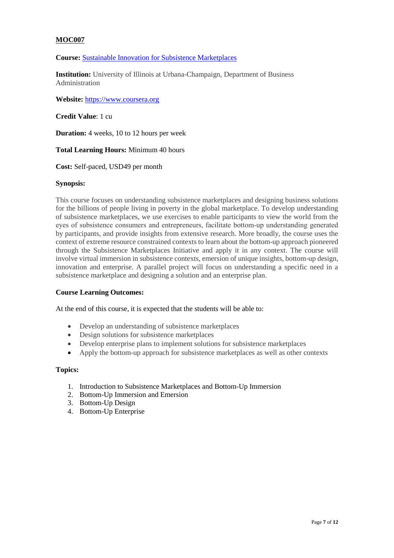# **Course:** [Sustainable Innovation for Subsistence Marketplaces](https://www.coursera.org/learn/subsistence-marketplaces-1?specialization=global-challenges-business)

**Institution:** University of Illinois at Urbana-Champaign, Department of Business Administration

**Website:** [https://www.coursera.org](https://www.coursera.org/)

**Credit Value**: 1 cu

**Duration:** 4 weeks, 10 to 12 hours per week

**Total Learning Hours:** Minimum 40 hours

**Cost:** Self-paced, USD49 per month

## **Synopsis:**

This course focuses on understanding subsistence marketplaces and designing business solutions for the billions of people living in poverty in the global marketplace. To develop understanding of subsistence marketplaces, we use exercises to enable participants to view the world from the eyes of subsistence consumers and entrepreneurs, facilitate bottom‐up understanding generated by participants, and provide insights from extensive research. More broadly, the course uses the context of extreme resource constrained contexts to learn about the bottom-up approach pioneered through the Subsistence Marketplaces Initiative and apply it in any context. The course will involve virtual immersion in subsistence contexts, emersion of unique insights, bottom-up design, innovation and enterprise. A parallel project will focus on understanding a specific need in a subsistence marketplace and designing a solution and an enterprise plan.

## **Course Learning Outcomes:**

At the end of this course, it is expected that the students will be able to:

- Develop an understanding of subsistence marketplaces
- Design solutions for subsistence marketplaces
- Develop enterprise plans to implement solutions for subsistence marketplaces
- Apply the bottom-up approach for subsistence marketplaces as well as other contexts

- 1. Introduction to Subsistence Marketplaces and Bottom-Up Immersion
- 2. Bottom-Up Immersion and Emersion
- 3. Bottom-Up Design
- 4. Bottom-Up Enterprise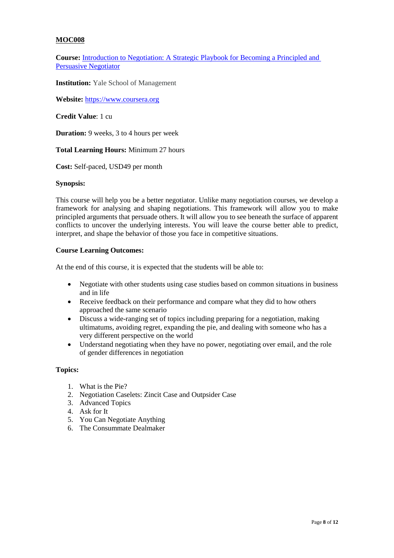**Course:** [Introduction to Negotiation: A Strategic Playbook for Becoming a Principled and](https://www.coursera.org/learn/negotiation)  [Persuasive Negotiator](https://www.coursera.org/learn/negotiation)

**Institution:** Yale School of Management

**Website:** [https://www.coursera.org](https://www.coursera.org/)

**Credit Value**: 1 cu

**Duration:** 9 weeks, 3 to 4 hours per week

**Total Learning Hours:** Minimum 27 hours

**Cost:** Self-paced, USD49 per month

### **Synopsis:**

This course will help you be a better negotiator. Unlike many negotiation courses, we develop a framework for analysing and shaping negotiations. This framework will allow you to make principled arguments that persuade others. It will allow you to see beneath the surface of apparent conflicts to uncover the underlying interests. You will leave the course better able to predict, interpret, and shape the behavior of those you face in competitive situations.

## **Course Learning Outcomes:**

At the end of this course, it is expected that the students will be able to:

- Negotiate with other students using case studies based on common situations in business and in life
- Receive feedback on their performance and compare what they did to how others approached the same scenario
- Discuss a wide-ranging set of topics including preparing for a negotiation, making ultimatums, avoiding regret, expanding the pie, and dealing with someone who has a very different perspective on the world
- Understand negotiating when they have no power, negotiating over email, and the role of gender differences in negotiation

- 1. What is the Pie?
- 2. Negotiation Caselets: Zincit Case and Outpsider Case
- 3. Advanced Topics
- 4. Ask for It
- 5. You Can Negotiate Anything
- 6. The Consummate Dealmaker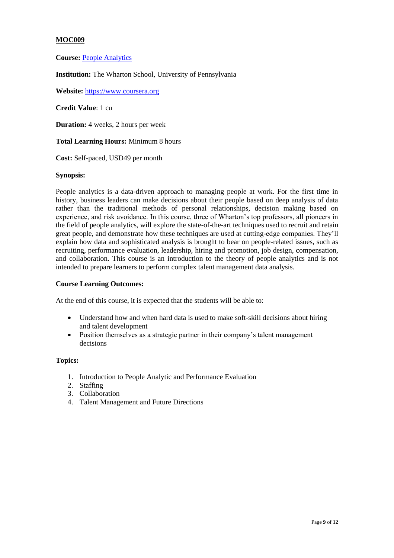**Course:** [People Analytics](https://www.coursera.org/learn/wharton-people-analytics?specialization=business-analytics)

**Institution:** The Wharton School, University of Pennsylvania

**Website:** [https://www.coursera.org](https://www.coursera.org/)

**Credit Value**: 1 cu

**Duration:** 4 weeks, 2 hours per week

**Total Learning Hours:** Minimum 8 hours

**Cost:** Self-paced, USD49 per month

### **Synopsis:**

People analytics is a data-driven approach to managing people at work. For the first time in history, business leaders can make decisions about their people based on deep analysis of data rather than the traditional methods of personal relationships, decision making based on experience, and risk avoidance. In this course, three of Wharton's top professors, all pioneers in the field of people analytics, will explore the state-of-the-art techniques used to recruit and retain great people, and demonstrate how these techniques are used at cutting-edge companies. They'll explain how data and sophisticated analysis is brought to bear on people-related issues, such as recruiting, performance evaluation, leadership, hiring and promotion, job design, compensation, and collaboration. This course is an introduction to the theory of people analytics and is not intended to prepare learners to perform complex talent management data analysis.

### **Course Learning Outcomes:**

At the end of this course, it is expected that the students will be able to:

- Understand how and when hard data is used to make soft-skill decisions about hiring and talent development
- Position themselves as a strategic partner in their company's talent management decisions

- 1. Introduction to People Analytic and Performance Evaluation
- 2. Staffing
- 3. Collaboration
- 4. Talent Management and Future Directions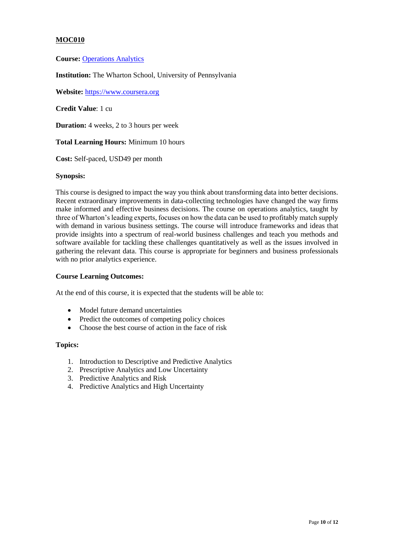**Course:** [Operations Analytics](https://www.coursera.org/learn/wharton-operations-analytics)

**Institution:** The Wharton School, University of Pennsylvania

**Website:** [https://www.coursera.org](https://www.coursera.org/)

**Credit Value**: 1 cu

**Duration:** 4 weeks, 2 to 3 hours per week

**Total Learning Hours:** Minimum 10 hours

**Cost:** Self-paced, USD49 per month

### **Synopsis:**

This course is designed to impact the way you think about transforming data into better decisions. Recent extraordinary improvements in data-collecting technologies have changed the way firms make informed and effective business decisions. The course on operations analytics, taught by three of Wharton's leading experts, focuses on how the data can be used to profitably match supply with demand in various business settings. The course will introduce frameworks and ideas that provide insights into a spectrum of real-world business challenges and teach you methods and software available for tackling these challenges quantitatively as well as the issues involved in gathering the relevant data. This course is appropriate for beginners and business professionals with no prior analytics experience.

### **Course Learning Outcomes:**

At the end of this course, it is expected that the students will be able to:

- Model future demand uncertainties
- Predict the outcomes of competing policy choices
- Choose the best course of action in the face of risk

- 1. Introduction to Descriptive and Predictive Analytics
- 2. Prescriptive Analytics and Low Uncertainty
- 3. Predictive Analytics and Risk
- 4. Predictive Analytics and High Uncertainty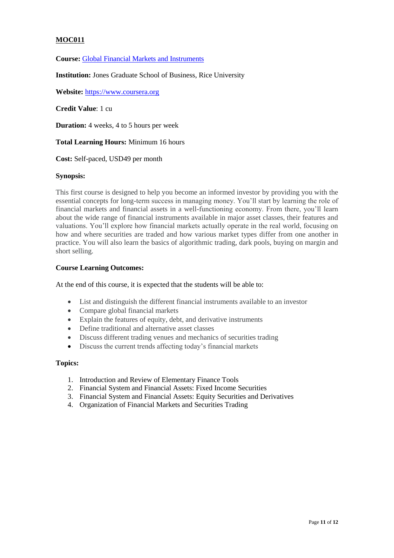**Course:** [Global Financial Markets and Instruments](https://www.coursera.org/learn/global-financial-markets-instruments)

**Institution:** Jones Graduate School of Business, Rice University

**Website:** [https://www.coursera.org](https://www.coursera.org/)

**Credit Value**: 1 cu

**Duration:** 4 weeks, 4 to 5 hours per week

## **Total Learning Hours:** Minimum 16 hours

**Cost:** Self-paced, USD49 per month

### **Synopsis:**

This first course is designed to help you become an informed investor by providing you with the essential concepts for long-term success in managing money. You'll start by learning the role of financial markets and financial assets in a well-functioning economy. From there, you'll learn about the wide range of financial instruments available in major asset classes, their features and valuations. You'll explore how financial markets actually operate in the real world, focusing on how and where securities are traded and how various market types differ from one another in practice. You will also learn the basics of algorithmic trading, dark pools, buying on margin and short selling.

## **Course Learning Outcomes:**

At the end of this course, it is expected that the students will be able to:

- List and distinguish the different financial instruments available to an investor
- Compare global financial markets
- Explain the features of equity, debt, and derivative instruments
- Define traditional and alternative asset classes
- Discuss different trading venues and mechanics of securities trading
- Discuss the current trends affecting today's financial markets

- 1. Introduction and Review of Elementary Finance Tools
- 2. Financial System and Financial Assets: Fixed Income Securities
- 3. Financial System and Financial Assets: Equity Securities and Derivatives
- 4. Organization of Financial Markets and Securities Trading